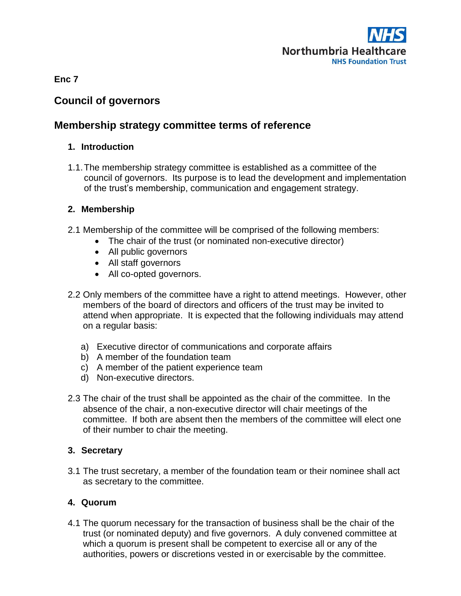

**Enc 7**

# **Council of governors**

# **Membership strategy committee terms of reference**

#### **1. Introduction**

1.1.The membership strategy committee is established as a committee of the council of governors. Its purpose is to lead the development and implementation of the trust's membership, communication and engagement strategy.

#### **2. Membership**

- 2.1 Membership of the committee will be comprised of the following members:
	- The chair of the trust (or nominated non-executive director)
	- All public governors
	- All staff governors
	- All co-opted governors.
- 2.2 Only members of the committee have a right to attend meetings. However, other members of the board of directors and officers of the trust may be invited to attend when appropriate. It is expected that the following individuals may attend on a regular basis:
	- a) Executive director of communications and corporate affairs
	- b) A member of the foundation team
	- c) A member of the patient experience team
	- d) Non-executive directors.
- 2.3 The chair of the trust shall be appointed as the chair of the committee. In the absence of the chair, a non-executive director will chair meetings of the committee. If both are absent then the members of the committee will elect one of their number to chair the meeting.

### **3. Secretary**

3.1 The trust secretary, a member of the foundation team or their nominee shall act as secretary to the committee.

### **4. Quorum**

4.1 The quorum necessary for the transaction of business shall be the chair of the trust (or nominated deputy) and five governors. A duly convened committee at which a quorum is present shall be competent to exercise all or any of the authorities, powers or discretions vested in or exercisable by the committee.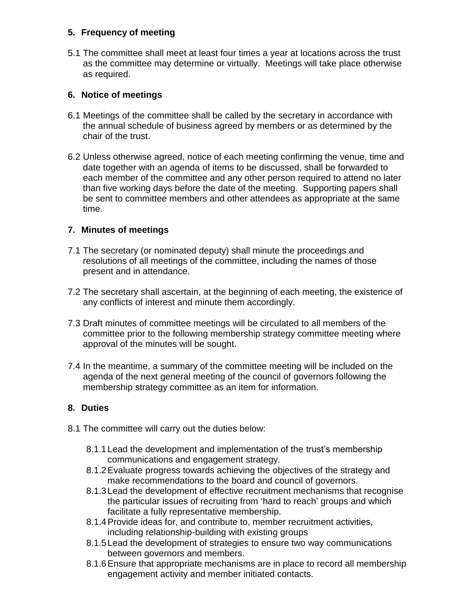### **5. Frequency of meeting**

5.1 The committee shall meet at least four times a year at locations across the trust as the committee may determine or virtually. Meetings will take place otherwise as required.

## **6. Notice of meetings**

- 6.1 Meetings of the committee shall be called by the secretary in accordance with the annual schedule of business agreed by members or as determined by the chair of the trust.
- 6.2 Unless otherwise agreed, notice of each meeting confirming the venue, time and date together with an agenda of items to be discussed, shall be forwarded to each member of the committee and any other person required to attend no later than five working days before the date of the meeting. Supporting papers shall be sent to committee members and other attendees as appropriate at the same time.

## **7. Minutes of meetings**

- 7.1 The secretary (or nominated deputy) shall minute the proceedings and resolutions of all meetings of the committee, including the names of those present and in attendance.
- 7.2 The secretary shall ascertain, at the beginning of each meeting, the existence of any conflicts of interest and minute them accordingly.
- 7.3 Draft minutes of committee meetings will be circulated to all members of the committee prior to the following membership strategy committee meeting where approval of the minutes will be sought.
- 7.4 In the meantime, a summary of the committee meeting will be included on the agenda of the next general meeting of the council of governors following the membership strategy committee as an item for information.

## **8. Duties**

- 8.1 The committee will carry out the duties below:
	- 8.1.1Lead the development and implementation of the trust's membership communications and engagement strategy.
	- 8.1.2Evaluate progress towards achieving the objectives of the strategy and make recommendations to the board and council of governors.
	- 8.1.3Lead the development of effective recruitment mechanisms that recognise the particular issues of recruiting from 'hard to reach' groups and which facilitate a fully representative membership.
	- 8.1.4Provide ideas for, and contribute to, member recruitment activities, including relationship-building with existing groups
	- 8.1.5Lead the development of strategies to ensure two way communications between governors and members.
	- 8.1.6Ensure that appropriate mechanisms are in place to record all membership engagement activity and member initiated contacts.